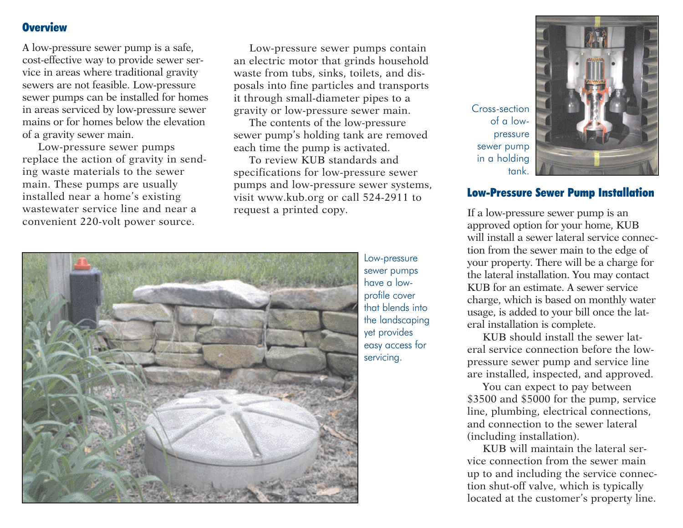#### **Overview**

A low-pressure sewer pump is a safe, cost-effective way to provide sewer service in areas where traditional gravity sewers are not feasible. Low-pressure sewer pumps can be installed for homes in areas serviced by low-pressure sewer mains or for homes below the elevation of a gravity sewer main.

 Low-pressure sewer pumps replace the action of gravity in sending waste materials to the sewer main. These pumps are usually installed near a home's existing wastewater service line and near a convenient 220-volt power source.

 Low-pressure sewer pumps contain an electric motor that grinds household waste from tubs, sinks, toilets, and disposals into fine particles and transports it through small-diameter pipes to a gravity or low-pressure sewer main.

 The contents of the low-pressure sewer pump's holding tank are removed each time the pump is activated.

 To review KUB standards and specifications for low-pressure sewer pumps and low-pressure sewer systems, visit www.kub.org or call 524-2911 to request a printed copy.



Low-pressure sewer pumps have a lowprofile cover that blends into the landscaping yet provides easy access for servicing.



#### Low-Pressure Sewer Pump Installation

If a low-pressure sewer pump is an approved option for your home, KUB will install a sewer lateral service connection from the sewer main to the edge of your property. There will be a charge for the lateral installation. You may contact KUB for an estimate. A sewer service charge, which is based on monthly water usage, is added to your bill once the lateral installation is complete.

 KUB should install the sewer lateral service connection before the lowpressure sewer pump and service line are installed, inspected, and approved.

 You can expect to pay between \$3500 and \$5000 for the pump, service line, plumbing, electrical connections, and connection to the sewer lateral (including installation).

 KUB will maintain the lateral service connection from the sewer main up to and including the service connection shut-off valve, which is typically located at the customer's property line.